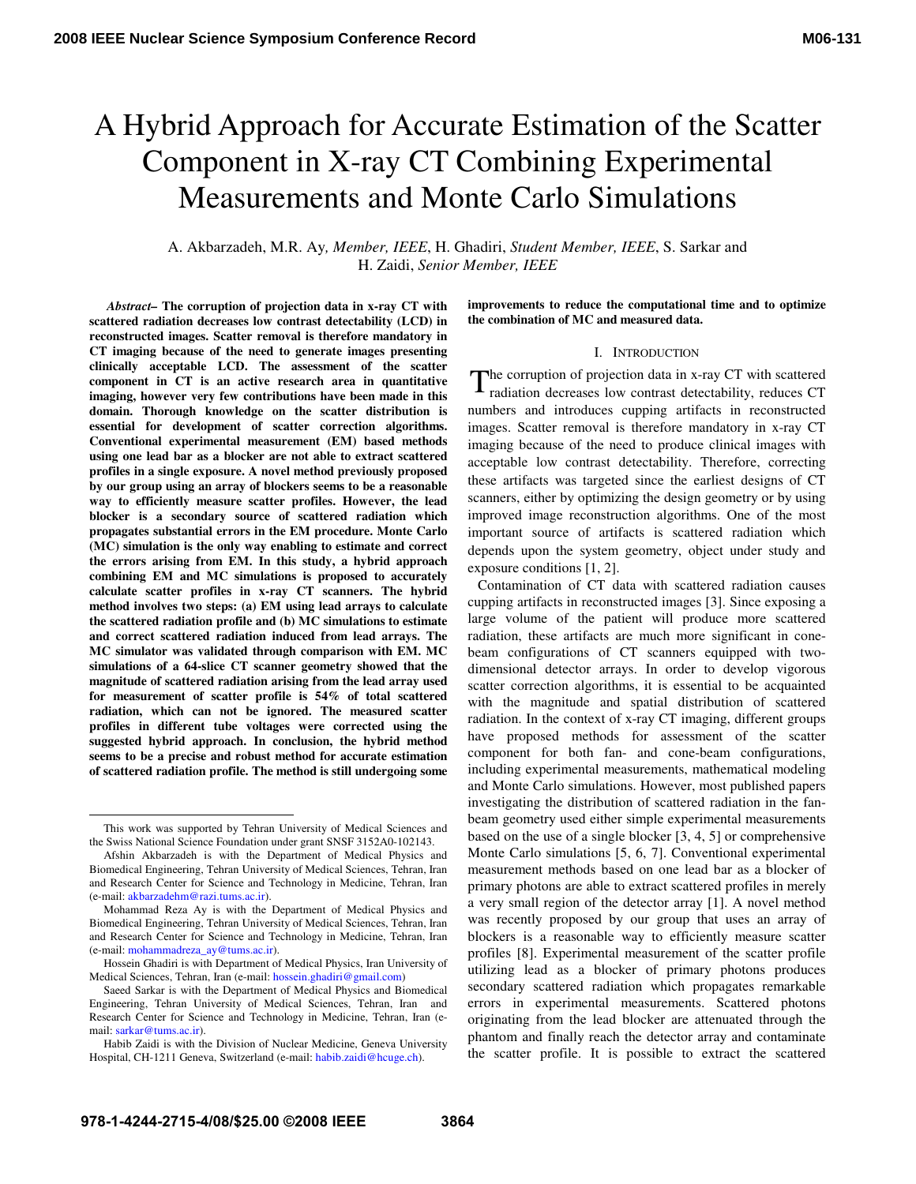# A Hybrid Approach for Accurate Estimation of the Scatter Component in X-ray CT Combining Experimental Measurements and Monte Carlo Simulations

A. Akbarzadeh, M.R. Ay*, Member, IEEE*, H. Ghadiri, *Student Member, IEEE*, S. Sarkar and H. Zaidi, *Senior Member, IEEE* 

 *Abstract–* **The corruption of projection data in x-ray CT with scattered radiation decreases low contrast detectability (LCD) in reconstructed images. Scatter removal is therefore mandatory in CT imaging because of the need to generate images presenting clinically acceptable LCD. The assessment of the scatter component in CT is an active research area in quantitative imaging, however very few contributions have been made in this domain. Thorough knowledge on the scatter distribution is essential for development of scatter correction algorithms. Conventional experimental measurement (EM) based methods using one lead bar as a blocker are not able to extract scattered profiles in a single exposure. A novel method previously proposed by our group using an array of blockers seems to be a reasonable way to efficiently measure scatter profiles. However, the lead blocker is a secondary source of scattered radiation which propagates substantial errors in the EM procedure. Monte Carlo (MC) simulation is the only way enabling to estimate and correct the errors arising from EM. In this study, a hybrid approach combining EM and MC simulations is proposed to accurately calculate scatter profiles in x-ray CT scanners. The hybrid method involves two steps: (a) EM using lead arrays to calculate the scattered radiation profile and (b) MC simulations to estimate and correct scattered radiation induced from lead arrays. The MC simulator was validated through comparison with EM. MC simulations of a 64-slice CT scanner geometry showed that the magnitude of scattered radiation arising from the lead array used for measurement of scatter profile is 54% of total scattered radiation, which can not be ignored. The measured scatter profiles in different tube voltages were corrected using the suggested hybrid approach. In conclusion, the hybrid method seems to be a precise and robust method for accurate estimation of scattered radiation profile. The method is still undergoing some** 

 $\overline{a}$ 

**improvements to reduce the computational time and to optimize the combination of MC and measured data.** 

## I. INTRODUCTION

he corruption of projection data in x-ray CT with scattered The corruption of projection data in x-ray CT with scattered radiation decreases low contrast detectability, reduces CT numbers and introduces cupping artifacts in reconstructed images. Scatter removal is therefore mandatory in x-ray CT imaging because of the need to produce clinical images with acceptable low contrast detectability. Therefore, correcting these artifacts was targeted since the earliest designs of CT scanners, either by optimizing the design geometry or by using improved image reconstruction algorithms. One of the most important source of artifacts is scattered radiation which depends upon the system geometry, object under study and exposure conditions [1, 2].

Contamination of CT data with scattered radiation causes cupping artifacts in reconstructed images [3]. Since exposing a large volume of the patient will produce more scattered radiation, these artifacts are much more significant in conebeam configurations of CT scanners equipped with twodimensional detector arrays. In order to develop vigorous scatter correction algorithms, it is essential to be acquainted with the magnitude and spatial distribution of scattered radiation. In the context of x-ray CT imaging, different groups have proposed methods for assessment of the scatter component for both fan- and cone-beam configurations, including experimental measurements, mathematical modeling and Monte Carlo simulations. However, most published papers investigating the distribution of scattered radiation in the fanbeam geometry used either simple experimental measurements based on the use of a single blocker [3, 4, 5] or comprehensive Monte Carlo simulations [5, 6, 7]. Conventional experimental measurement methods based on one lead bar as a blocker of primary photons are able to extract scattered profiles in merely a very small region of the detector array [1]. A novel method was recently proposed by our group that uses an array of blockers is a reasonable way to efficiently measure scatter profiles [8]. Experimental measurement of the scatter profile utilizing lead as a blocker of primary photons produces secondary scattered radiation which propagates remarkable errors in experimental measurements. Scattered photons originating from the lead blocker are attenuated through the phantom and finally reach the detector array and contaminate the scatter profile. It is possible to extract the scattered

This work was supported by Tehran University of Medical Sciences and the Swiss National Science Foundation under grant SNSF 3152A0-102143.

Afshin Akbarzadeh is with the Department of Medical Physics and Biomedical Engineering, Tehran University of Medical Sciences, Tehran, Iran and Research Center for Science and Technology in Medicine, Tehran, Iran (e-mail: akbarzadehm@razi.tums.ac.ir).

Mohammad Reza Ay is with the Department of Medical Physics and Biomedical Engineering, Tehran University of Medical Sciences, Tehran, Iran and Research Center for Science and Technology in Medicine, Tehran, Iran (e-mail: mohammadreza\_ay@tums.ac.ir).

Hossein Ghadiri is with Department of Medical Physics, Iran University of Medical Sciences, Tehran, Iran (e-mail: hossein.ghadiri@gmail.com)

Saeed Sarkar is with the Department of Medical Physics and Biomedical Engineering, Tehran University of Medical Sciences, Tehran, Iran and Research Center for Science and Technology in Medicine, Tehran, Iran (email: sarkar@tums.ac.ir).

Habib Zaidi is with the Division of Nuclear Medicine, Geneva University Hospital, CH-1211 Geneva, Switzerland (e-mail: habib.zaidi@hcuge.ch).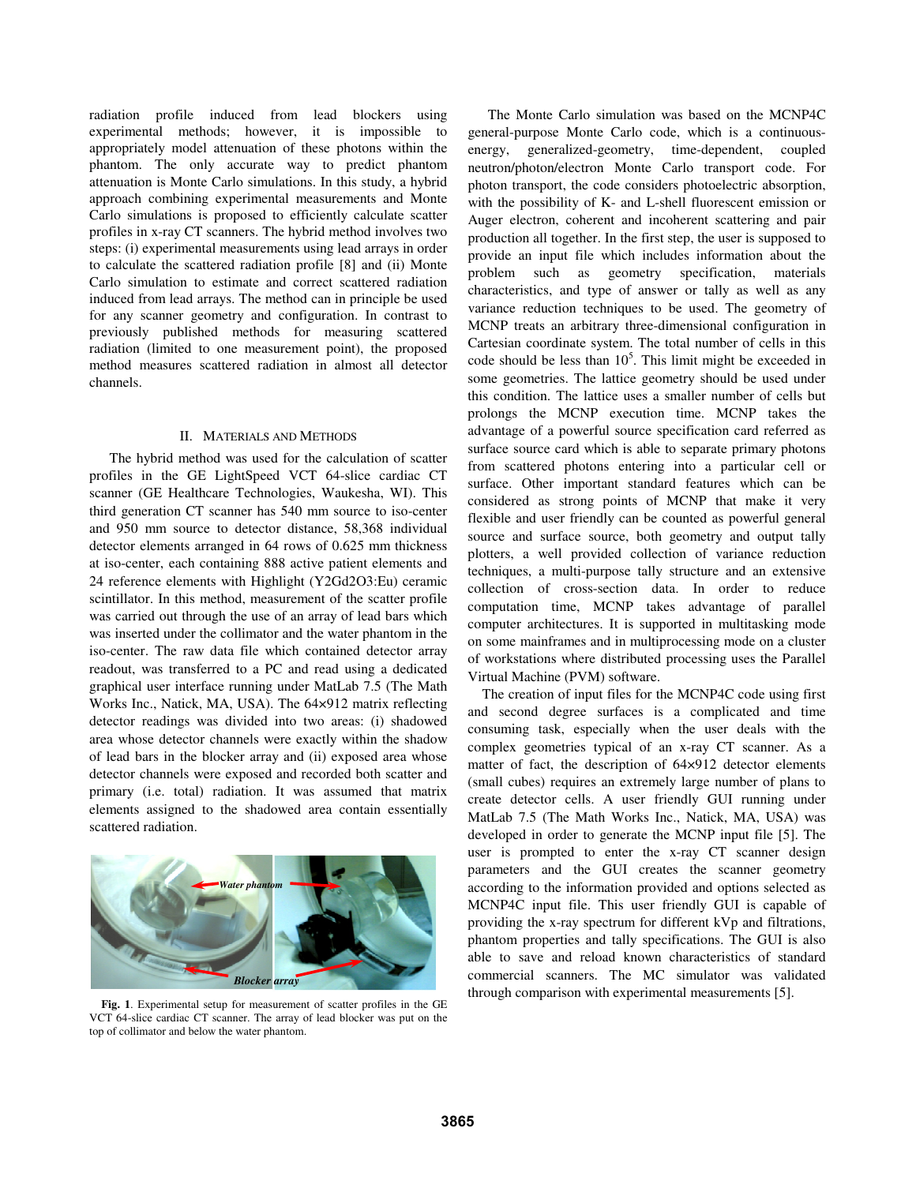radiation profile induced from lead blockers using experimental methods; however, it is impossible to appropriately model attenuation of these photons within the phantom. The only accurate way to predict phantom attenuation is Monte Carlo simulations. In this study, a hybrid approach combining experimental measurements and Monte Carlo simulations is proposed to efficiently calculate scatter profiles in x-ray CT scanners. The hybrid method involves two steps: (i) experimental measurements using lead arrays in order to calculate the scattered radiation profile [8] and (ii) Monte Carlo simulation to estimate and correct scattered radiation induced from lead arrays. The method can in principle be used for any scanner geometry and configuration. In contrast to previously published methods for measuring scattered radiation (limited to one measurement point), the proposed method measures scattered radiation in almost all detector channels.

## II. MATERIALS AND METHODS

The hybrid method was used for the calculation of scatter profiles in the GE LightSpeed VCT 64-slice cardiac CT scanner (GE Healthcare Technologies, Waukesha, WI). This third generation CT scanner has 540 mm source to iso-center and 950 mm source to detector distance, 58,368 individual detector elements arranged in 64 rows of 0.625 mm thickness at iso-center, each containing 888 active patient elements and 24 reference elements with Highlight (Y2Gd2O3:Eu) ceramic scintillator. In this method, measurement of the scatter profile was carried out through the use of an array of lead bars which was inserted under the collimator and the water phantom in the iso-center. The raw data file which contained detector array readout, was transferred to a PC and read using a dedicated graphical user interface running under MatLab 7.5 (The Math Works Inc., Natick, MA, USA). The 64×912 matrix reflecting detector readings was divided into two areas: (i) shadowed area whose detector channels were exactly within the shadow of lead bars in the blocker array and (ii) exposed area whose detector channels were exposed and recorded both scatter and primary (i.e. total) radiation. It was assumed that matrix elements assigned to the shadowed area contain essentially scattered radiation.



**Fig. 1**. Experimental setup for measurement of scatter profiles in the GE VCT 64-slice cardiac CT scanner. The array of lead blocker was put on the top of collimator and below the water phantom.

The Monte Carlo simulation was based on the MCNP4C general-purpose Monte Carlo code, which is a continuousenergy, generalized-geometry, time-dependent, coupled neutron/photon/electron Monte Carlo transport code. For photon transport, the code considers photoelectric absorption, with the possibility of K- and L-shell fluorescent emission or Auger electron, coherent and incoherent scattering and pair production all together. In the first step, the user is supposed to provide an input file which includes information about the problem such as geometry specification, materials characteristics, and type of answer or tally as well as any variance reduction techniques to be used. The geometry of MCNP treats an arbitrary three-dimensional configuration in Cartesian coordinate system. The total number of cells in this code should be less than  $10<sup>5</sup>$ . This limit might be exceeded in some geometries. The lattice geometry should be used under this condition. The lattice uses a smaller number of cells but prolongs the MCNP execution time. MCNP takes the advantage of a powerful source specification card referred as surface source card which is able to separate primary photons from scattered photons entering into a particular cell or surface. Other important standard features which can be considered as strong points of MCNP that make it very flexible and user friendly can be counted as powerful general source and surface source, both geometry and output tally plotters, a well provided collection of variance reduction techniques, a multi-purpose tally structure and an extensive collection of cross-section data. In order to reduce computation time, MCNP takes advantage of parallel computer architectures. It is supported in multitasking mode on some mainframes and in multiprocessing mode on a cluster of workstations where distributed processing uses the Parallel Virtual Machine (PVM) software.

The creation of input files for the MCNP4C code using first and second degree surfaces is a complicated and time consuming task, especially when the user deals with the complex geometries typical of an x-ray CT scanner. As a matter of fact, the description of 64×912 detector elements (small cubes) requires an extremely large number of plans to create detector cells. A user friendly GUI running under MatLab 7.5 (The Math Works Inc., Natick, MA, USA) was developed in order to generate the MCNP input file [5]. The user is prompted to enter the x-ray CT scanner design parameters and the GUI creates the scanner geometry according to the information provided and options selected as MCNP4C input file. This user friendly GUI is capable of providing the x-ray spectrum for different kVp and filtrations, phantom properties and tally specifications. The GUI is also able to save and reload known characteristics of standard commercial scanners. The MC simulator was validated through comparison with experimental measurements [5].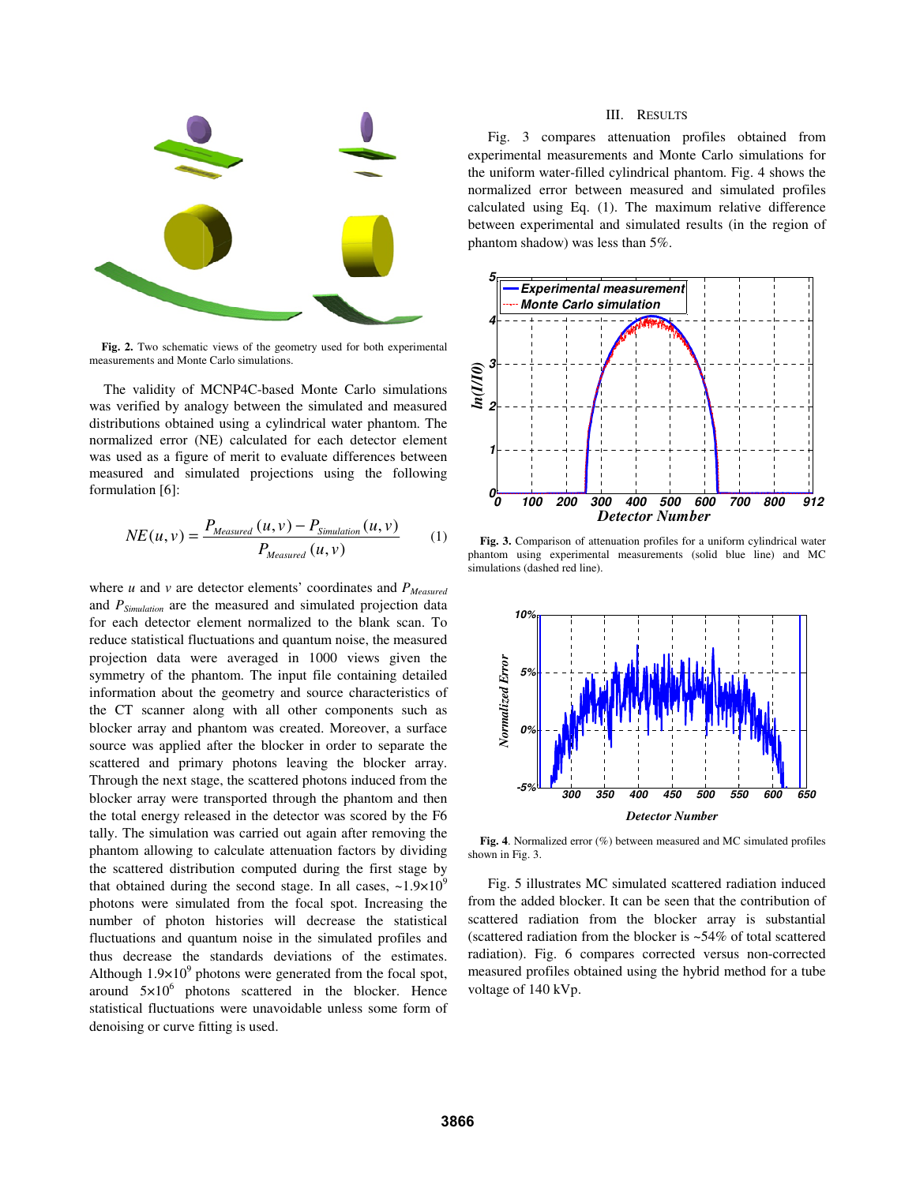

**Fig. 2.** Two schematic views of the geometry used for both experimental measurements and Monte Carlo simulations.

The validity of MCNP4C-based Monte Carlo simulations was verified by analogy between the simulated and measured distributions obtained using a cylindrical water phantom. The normalized error (NE) calculated for each detector element was used as a figure of merit to evaluate differences between measured and simulated projections using the following formulation [6]:

$$
NE(u, v) = \frac{P_{Measured}(u, v) - P_{Simulation}(u, v)}{P_{Measured}(u, v)}
$$
(1)

where  $u$  and  $v$  are detector elements' coordinates and  $P_{\text{Measured}}$ and *PSimulation* are the measured and simulated projection data for each detector element normalized to the blank scan. To reduce statistical fluctuations and quantum noise, the measured projection data were averaged in 1000 views given the symmetry of the phantom. The input file containing detailed information about the geometry and source characteristics of the CT scanner along with all other components such as blocker array and phantom was created. Moreover, a surface source was applied after the blocker in order to separate the scattered and primary photons leaving the blocker array. Through the next stage, the scattered photons induced from the blocker array were transported through the phantom and then the total energy released in the detector was scored by the F6 tally. The simulation was carried out again after removing the phantom allowing to calculate attenuation factors by dividing the scattered distribution computed during the first stage by that obtained during the second stage. In all cases,  $\sim 1.9 \times 10^9$ photons were simulated from the focal spot. Increasing the number of photon histories will decrease the statistical fluctuations and quantum noise in the simulated profiles and thus decrease the standards deviations of the estimates. Although  $1.9 \times 10^9$  photons were generated from the focal spot, around  $5\times10^6$  photons scattered in the blocker. Hence statistical fluctuations were unavoidable unless some form of denoising or curve fitting is used.

## III. RESULTS

Fig. 3 compares attenuation profiles obtained from experimental measurements and Monte Carlo simulations for the uniform water-filled cylindrical phantom. Fig. 4 shows the normalized error between measured and simulated profiles calculated using Eq. (1). The maximum relative difference between experimental and simulated results (in the region of phantom shadow) was less than 5%.



**Fig. 3.** Comparison of attenuation profiles for a uniform cylindrical water phantom using experimental measurements (solid blue line) and MC simulations (dashed red line).



**Fig. 4**. Normalized error (%) between measured and MC simulated profiles shown in Fig. 3.

Fig. 5 illustrates MC simulated scattered radiation induced from the added blocker. It can be seen that the contribution of scattered radiation from the blocker array is substantial (scattered radiation from the blocker is ~54% of total scattered radiation). Fig. 6 compares corrected versus non-corrected measured profiles obtained using the hybrid method for a tube voltage of 140 kVp.